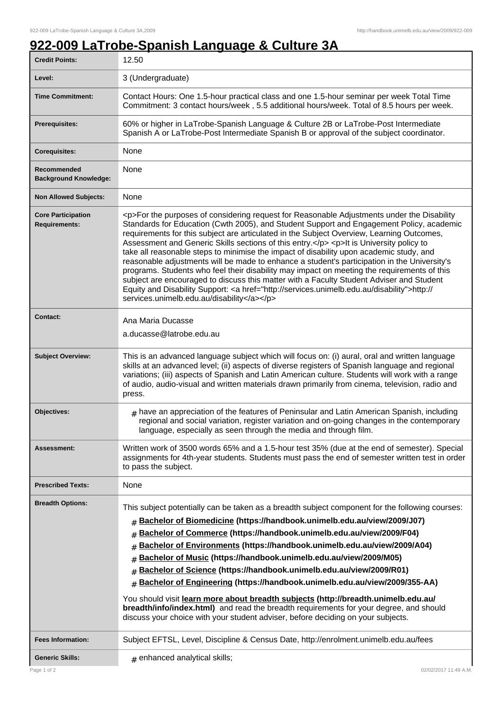## **922-009 LaTrobe-Spanish Language & Culture 3A**

| <b>Credit Points:</b>                             | 12.50                                                                                                                                                                                                                                                                                                                                                                                                                                                                                                                                                                                                                                                                                                                                                                                                                                                                                                                        |
|---------------------------------------------------|------------------------------------------------------------------------------------------------------------------------------------------------------------------------------------------------------------------------------------------------------------------------------------------------------------------------------------------------------------------------------------------------------------------------------------------------------------------------------------------------------------------------------------------------------------------------------------------------------------------------------------------------------------------------------------------------------------------------------------------------------------------------------------------------------------------------------------------------------------------------------------------------------------------------------|
| Level:                                            | 3 (Undergraduate)                                                                                                                                                                                                                                                                                                                                                                                                                                                                                                                                                                                                                                                                                                                                                                                                                                                                                                            |
| <b>Time Commitment:</b>                           | Contact Hours: One 1.5-hour practical class and one 1.5-hour seminar per week Total Time<br>Commitment: 3 contact hours/week, 5.5 additional hours/week. Total of 8.5 hours per week.                                                                                                                                                                                                                                                                                                                                                                                                                                                                                                                                                                                                                                                                                                                                        |
| <b>Prerequisites:</b>                             | 60% or higher in LaTrobe-Spanish Language & Culture 2B or LaTrobe-Post Intermediate<br>Spanish A or LaTrobe-Post Intermediate Spanish B or approval of the subject coordinator.                                                                                                                                                                                                                                                                                                                                                                                                                                                                                                                                                                                                                                                                                                                                              |
| <b>Corequisites:</b>                              | None                                                                                                                                                                                                                                                                                                                                                                                                                                                                                                                                                                                                                                                                                                                                                                                                                                                                                                                         |
| Recommended<br><b>Background Knowledge:</b>       | None                                                                                                                                                                                                                                                                                                                                                                                                                                                                                                                                                                                                                                                                                                                                                                                                                                                                                                                         |
| <b>Non Allowed Subjects:</b>                      | None                                                                                                                                                                                                                                                                                                                                                                                                                                                                                                                                                                                                                                                                                                                                                                                                                                                                                                                         |
| <b>Core Participation</b><br><b>Requirements:</b> | <p>For the purposes of considering request for Reasonable Adjustments under the Disability<br/>Standards for Education (Cwth 2005), and Student Support and Engagement Policy, academic<br/>requirements for this subject are articulated in the Subject Overview, Learning Outcomes,<br/>Assessment and Generic Skills sections of this entry.</p> <p>It is University policy to<br/>take all reasonable steps to minimise the impact of disability upon academic study, and<br/>reasonable adjustments will be made to enhance a student's participation in the University's<br/>programs. Students who feel their disability may impact on meeting the requirements of this<br/>subject are encouraged to discuss this matter with a Faculty Student Adviser and Student<br/>Equity and Disability Support: &lt; a href="http://services.unimelb.edu.au/disability"&gt;http://<br/>services.unimelb.edu.au/disability</p> |
| <b>Contact:</b>                                   | Ana Maria Ducasse                                                                                                                                                                                                                                                                                                                                                                                                                                                                                                                                                                                                                                                                                                                                                                                                                                                                                                            |
|                                                   | a.ducasse@latrobe.edu.au                                                                                                                                                                                                                                                                                                                                                                                                                                                                                                                                                                                                                                                                                                                                                                                                                                                                                                     |
| <b>Subject Overview:</b>                          | This is an advanced language subject which will focus on: (i) aural, oral and written language<br>skills at an advanced level; (ii) aspects of diverse registers of Spanish language and regional<br>variations; (iii) aspects of Spanish and Latin American culture. Students will work with a range<br>of audio, audio-visual and written materials drawn primarily from cinema, television, radio and<br>press.                                                                                                                                                                                                                                                                                                                                                                                                                                                                                                           |
| Objectives:                                       | $#$ have an appreciation of the features of Peninsular and Latin American Spanish, including<br>regional and social variation, register variation and on-going changes in the contemporary<br>language, especially as seen through the media and through film.                                                                                                                                                                                                                                                                                                                                                                                                                                                                                                                                                                                                                                                               |
| <b>Assessment:</b>                                | Written work of 3500 words 65% and a 1.5-hour test 35% (due at the end of semester). Special<br>assignments for 4th-year students. Students must pass the end of semester written test in order<br>to pass the subject.                                                                                                                                                                                                                                                                                                                                                                                                                                                                                                                                                                                                                                                                                                      |
| <b>Prescribed Texts:</b>                          | None                                                                                                                                                                                                                                                                                                                                                                                                                                                                                                                                                                                                                                                                                                                                                                                                                                                                                                                         |
| <b>Breadth Options:</b>                           | This subject potentially can be taken as a breadth subject component for the following courses:<br>Bachelor of Biomedicine (https://handbook.unimelb.edu.au/view/2009/J07)<br>Bachelor of Commerce (https://handbook.unimelb.edu.au/view/2009/F04)<br>#<br>Bachelor of Environments (https://handbook.unimelb.edu.au/view/2009/A04)<br>#<br>Bachelor of Music (https://handbook.unimelb.edu.au/view/2009/M05)<br>#<br>Bachelor of Science (https://handbook.unimelb.edu.au/view/2009/R01)<br>Bachelor of Engineering (https://handbook.unimelb.edu.au/view/2009/355-AA)<br>#<br>You should visit learn more about breadth subjects (http://breadth.unimelb.edu.au/<br>breadth/info/index.html) and read the breadth requirements for your degree, and should<br>discuss your choice with your student adviser, before deciding on your subjects.                                                                             |
| <b>Fees Information:</b>                          | Subject EFTSL, Level, Discipline & Census Date, http://enrolment.unimelb.edu.au/fees                                                                                                                                                                                                                                                                                                                                                                                                                                                                                                                                                                                                                                                                                                                                                                                                                                         |
| <b>Generic Skills:</b>                            | $#$ enhanced analytical skills;                                                                                                                                                                                                                                                                                                                                                                                                                                                                                                                                                                                                                                                                                                                                                                                                                                                                                              |
| Page 1 of 2                                       | 02/02/2017 11:49 A.M.                                                                                                                                                                                                                                                                                                                                                                                                                                                                                                                                                                                                                                                                                                                                                                                                                                                                                                        |